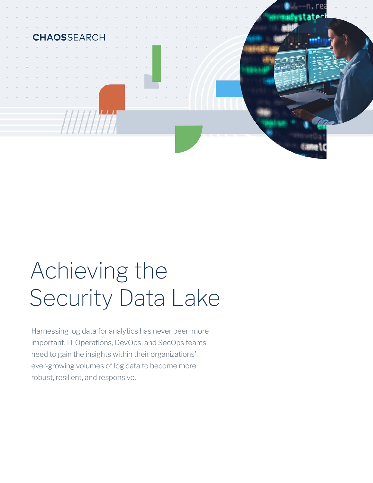

# Achieving the Security Data Lake

Harnessing log data for analytics has never been more important. IT Operations, DevOps, and SecOps teams need to gain the insights within their organizations' ever-growing volumes of log data to become more robust, resilient, and responsive.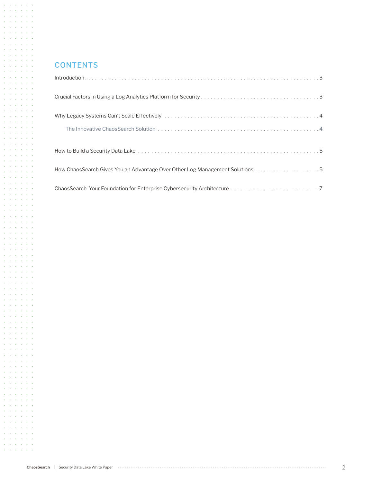#### **CONTENTS**

 $\mathcal{A}$  and  $\mathcal{A}$  are  $\mathcal{A}$  . Then  $\mathcal{A}=\mathcal{A}$  ,  $\mathcal{A}=\mathcal{A}=\mathcal{A}=\mathcal{A}$  $\mathcal{A}=\mathcal{A}=\mathcal{A}=\mathcal{A}=\mathcal{A}=\mathcal{A}$  $\mathcal{A}$  and  $\mathcal{A}$  are  $\mathcal{A}$  . Then  $\mathcal{A}=\mathcal{A}=\mathcal{A}=\mathcal{A}=\mathcal{A}=\mathcal{A}$ **Service Street**  $\mathcal{A}=\mathcal{A}=\mathcal{A}=\mathcal{A}=\mathcal{A}=\mathcal{A}$  $\mathcal{A}=\mathcal{A}=\mathcal{A}=\mathcal{A}=\mathcal{A}=\mathcal{A}$  $\mathcal{A}=\mathcal{A}=\mathcal{A}=\mathcal{A}=\mathcal{A}=\mathcal{A}$  $\mathcal{A}=\mathcal{A}=\mathcal{A}=\mathcal{A}=\mathcal{A}=\mathcal{A}$ and a state of the  $\mathcal{A}=\mathcal{A}=\mathcal{A}=\mathcal{A}=\mathcal{A}=\mathcal{A}$  $\alpha$  ,  $\alpha$  ,  $\alpha$  ,  $\alpha$  ,  $\alpha$  ,  $\alpha$  $\mathcal{A}=\mathcal{A}=\mathcal{A}=\mathcal{A}=\mathcal{A}=\mathcal{A}$ **Contractor** Service  $\mathcal{A}=\mathcal{A}=\mathcal{A}=\mathcal{A}=\mathcal{A}=\mathcal{A}$  $\mathcal{A}=\mathcal{A}=\mathcal{A}=\mathcal{A}=\mathcal{A}=\mathcal{A}$  $\mathcal{A}=\mathcal{A}=\mathcal{A}=\mathcal{A}=\mathcal{A}=\mathcal{A}$  $\mathcal{A}$  and  $\mathcal{A}$  are  $\mathcal{A}$  . Then  $\mathcal{A}$  $\mathcal{A}=\mathcal{A}=\mathcal{A}=\mathcal{A}=\mathcal{A}=\mathcal{A}$  $\mathcal{A}=\mathcal{A}=\mathcal{A}=\mathcal{A}=\mathcal{A}=\mathcal{A}$ and a state of the  $\mathcal{A}^{\mathcal{A}}$  ,  $\mathcal{A}^{\mathcal{A}}$  ,  $\mathcal{A}^{\mathcal{A}}$  ,  $\mathcal{A}^{\mathcal{A}}$  ,  $\mathcal{A}^{\mathcal{A}}$  $\alpha$  is a set of  $\alpha$  , and  $\alpha$  $\alpha$  ,  $\alpha$  ,  $\alpha$  ,  $\alpha$  ,  $\alpha$  ,  $\alpha$ **Service Street**  $\mathcal{A}=\mathcal{A}=\mathcal{A}=\mathcal{A}=\mathcal{A}=\mathcal{A}$ contract and contracts  $\mathcal{A}=\mathcal{A}=\mathcal{A}=\mathcal{A}=\mathcal{A}=\mathcal{A}$  $\mathcal{A}$  and  $\mathcal{A}$  are  $\mathcal{A}$  . Then  $\mathcal{A}$  $\mathcal{A}=\mathcal{A}=\mathcal{A}=\mathcal{A}=\mathcal{A}=\mathcal{A}$  $\mathcal{A}$  , and  $\mathcal{A}$  , and  $\mathcal{A}$ and a state of the  $\mathcal{A}=\mathcal{A}=\mathcal{A}=\mathcal{A}=\mathcal{A}=\mathcal{A}$ and a state of the  $\mathcal{A}=\mathcal{A}=\mathcal{A}=\mathcal{A}=\mathcal{A}=\mathcal{A}$  $\mathcal{A}$  ,  $\mathcal{A}$  ,  $\mathcal{A}$  ,  $\mathcal{A}$  ,  $\mathcal{A}$  $\mathcal{A}=\mathcal{A}=\mathcal{A}=\mathcal{A}=\mathcal{A}=\mathcal{A}$  $\mathcal{A}$  ,  $\mathcal{A}$  ,  $\mathcal{A}$  ,  $\mathcal{A}$  ,  $\mathcal{A}$  ,  $\mathcal{A}$  $\mathcal{A}=\mathcal{A}=\mathcal{A}=\mathcal{A}=\mathcal{A}=\mathcal{A}$  $\mathcal{A}$  and  $\mathcal{A}$  are  $\mathcal{A}$  and  $\mathcal{A}$  $\alpha$  ,  $\alpha$  ,  $\alpha$  ,  $\alpha$  ,  $\alpha$  ,  $\alpha$  $\mathcal{A}=\mathcal{A}=\mathcal{A}=\mathcal{A}=\mathcal{A}=\mathcal{A}$  $\mathcal{A}$  , and  $\mathcal{A}$  , and  $\mathcal{A}$  , and  $\mathcal{A}$  and  $\mathcal{A}$  are  $\mathcal{A}$  . Then  $\mathcal{A}$  $\mathcal{A}=\mathcal{A}=\mathcal{A}=\mathcal{A}=\mathcal{A}=\mathcal{A}$  $\mathcal{A}$  , and  $\mathcal{A}$  , and  $\mathcal{A}$  , and  $\mathcal{A}$  and  $\mathcal{A}$  are  $\mathcal{A}$  . Then  $\mathcal{A}=\mathcal{A}=\mathcal{A}=\mathcal{A}=\mathcal{A}=\mathcal{A}$ **Service Street**  $\mathcal{A}=\mathcal{A}=\mathcal{A}=\mathcal{A}=\mathcal{A}=\mathcal{A}$  $\mathcal{A}$  and  $\mathcal{A}$  are  $\mathcal{A}$  . Then  $\mathcal{A}=\mathcal{A}=\mathcal{A}=\mathcal{A}=\mathcal{A}=\mathcal{A}$  $\mathcal{A}=\mathcal{A}=\mathcal{A}=\mathcal{A}=\mathcal{A}=\mathcal{A}$ and a state of the  $\mathcal{A}=\mathcal{A}=\mathcal{A}=\mathcal{A}=\mathcal{A}=\mathcal{A}$  $\mathcal{A}=\mathcal{A}=\mathcal{A}=\mathcal{A}=\mathcal{A}=\mathcal{A}$  $\mathcal{A}=\mathcal{A}=\mathcal{A}=\mathcal{A}=\mathcal{A}=\mathcal{A}$ and a state of the  $\mathcal{A}=\mathcal{A}=\mathcal{A}=\mathcal{A}=\mathcal{A}=\mathcal{A}$  $\mathcal{A}$  and  $\mathcal{A}$  are  $\mathcal{A}$  . Then  $\mathcal{A}$  and  $\mathcal{A}$  are  $\mathcal{A}$  . Then  $\mathcal{A}$  $\mathcal{A}=\mathcal{A}$  ,  $\mathcal{A}=\mathcal{A}=\mathcal{A}=\mathcal{A}$  $\mathcal{A}=\mathcal{A}$  , and  $\mathcal{A}=\mathcal{A}$  , and  $\mathcal{A}=\mathcal{A}=\mathcal{A}=\mathcal{A}=\mathcal{A}=\mathcal{A}$  $\mathcal{A}=\mathcal{A}=\mathcal{A}=\mathcal{A}=\mathcal{A}=\mathcal{A}$  $\mathcal{A}=\mathcal{A}=\mathcal{A}=\mathcal{A}=\mathcal{A}=\mathcal{A}$  $\mathcal{A}$  and  $\mathcal{A}$  are  $\mathcal{A}$  . Then  $\mathcal{A}$  $\mathcal{A}=\mathcal{A}=\mathcal{A}=\mathcal{A}=\mathcal{A}=\mathcal{A}$ **Contractor** Service  $\mathcal{A}=\mathcal{A}=\mathcal{A}=\mathcal{A}=\mathcal{A}=\mathcal{A}$  $\mathcal{A}=\mathcal{A}=\mathcal{A}=\mathcal{A}=\mathcal{A}=\mathcal{A}$  $\mathcal{A}$  , and  $\mathcal{A}$  , and  $\mathcal{A}$  , and  $\mathcal{A}=\mathcal{A}=\mathcal{A}=\mathcal{A}=\mathcal{A}=\mathcal{A}$  $\mathcal{A}=\mathcal{A}=\mathcal{A}=\mathcal{A}=\mathcal{A}=\mathcal{A}$  $\mathcal{A}$  , and  $\mathcal{A}$  , and  $\mathcal{A}$ and the company's  $\mathcal{A}=\mathcal{A}=\mathcal{A}=\mathcal{A}=\mathcal{A}=\mathcal{A}$  $\mathcal{A}=\mathcal{A}=\mathcal{A}=\mathcal{A}=\mathcal{A}=\mathcal{A}$  $\mathcal{A}=\mathcal{A}=\mathcal{A}=\mathcal{A}=\mathcal{A}=\mathcal{A}$  $\Delta$  ,  $\Delta$  ,  $\Delta$  ,  $\Delta$  ,  $\Delta$  ,  $\Delta$ 

| How ChaosSearch Gives You an Advantage Over Other Log Management Solutions. 5 |  |
|-------------------------------------------------------------------------------|--|
|                                                                               |  |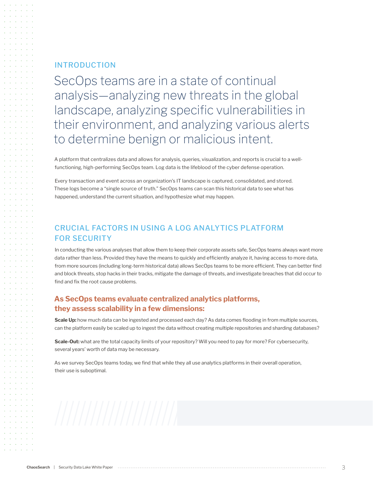#### INTRODUCTION

SecOps teams are in a state of continual analysis—analyzing new threats in the global landscape, analyzing specific vulnerabilities in their environment, and analyzing various alerts to determine benign or malicious intent.

A platform that centralizes data and allows for analysis, queries, visualization, and reports is crucial to a wellfunctioning, high-performing SecOps team. Log data is the lifeblood of the cyber defense operation.

Every transaction and event across an organization's IT landscape is captured, consolidated, and stored. These logs become a "single source of truth." SecOps teams can scan this historical data to see what has happened, understand the current situation, and hypothesize what may happen.

#### CRUCIAL FACTORS IN USING A LOG ANALYTICS PLATFORM FOR SECURITY

In conducting the various analyses that allow them to keep their corporate assets safe, SecOps teams always want more data rather than less. Provided they have the means to quickly and efficiently analyze it, having access to more data, from more sources (including long-term historical data) allows SecOps teams to be more efficient. They can better find and block threats, stop hacks in their tracks, mitigate the damage of threats, and investigate breaches that did occur to find and fix the root cause problems.

#### **As SecOps teams evaluate centralized analytics platforms, they assess scalability in a few dimensions:**

**Scale Up:** how much data can be ingested and processed each day? As data comes flooding in from multiple sources, can the platform easily be scaled up to ingest the data without creating multiple repositories and sharding databases?

**Scale-Out:** what are the total capacity limits of your repository? Will you need to pay for more? For cybersecurity, several years' worth of data may be necessary.

As we survey SecOps teams today, we find that while they all use analytics platforms in their overall operation, their use is suboptimal.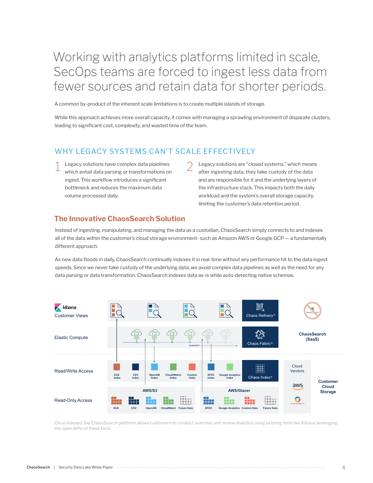## Working with analytics platforms limited in scale, SecOps teams are forced to ingest less data from fewer sources and retain data for shorter periods.

A common by-product of the inherent scale limitations is to create multiple islands of storage.

While this approach achieves more overall capacity, it comes with managing a sprawling environment of disparate clusters, leading to significant cost, complexity, and wasted time of the team.

#### WHY LEGACY SYSTEMS CAN'T SCALE EFFECTIVELY

- $\frac{1}{2}$  Legacy solutions have complex data pipelines  $\frac{2}{2}$  which entail data parsing or transformations on which entail data parsing or transformations on ingest. This workflow introduces a significant bottleneck and reduces the maximum data volume processed daily.
	- Legacy solutions are "closed systems," which means after ingesting data, they take custody of the data and are responsible for it and the underlying layers of the infrastructure stack. This impacts both the daily workload and the system's overall storage capacity, limiting the customer's data retention period.

#### **The Innovative ChaosSearch Solution**

Instead of ingesting, manipulating, and managing the data as a custodian, ChaosSearch simply connects to and indexes all of the data within the customer's cloud storage environment- such as Amazon AWS or Google GCP — a fundamentally different approach.

As new data floods in daily, ChaosSearch continually indexes it in real-time without any performance hit to the data ingest speeds. Since we never take custody of the underlying data, we avoid complex data pipelines as well as the need for any data parsing or data transformation. ChaosSearch indexes data as-is while auto-detecting native schemas.



Once indexed, the ChaosSearch platform allows customers to conduct searches and review analytics using existing tools like Kibana, leveraging the open APIs of these tools.

#### **ChaosSearch** | Security Data Lake White Paper 4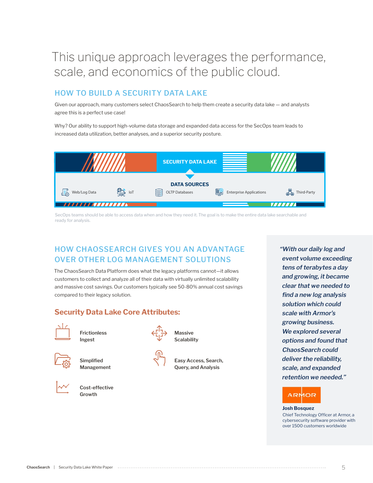# This unique approach leverages the performance, scale, and economics of the public cloud.

## HOW TO BUILD A SECURITY DATA LAKE

Given our approach, many customers select ChaosSearch to help them create a security data lake — and analysts agree this is a perfect use case!

Why? Our ability to support high-volume data storage and expanded data access for the SecOps team leads to increased data utilization, better analyses, and a superior security posture.



SecOps teams should be able to access data when and how they need it. The goal is to make the entire data lake searchable and ready for analysis.

## HOW CHAOSSEARCH GIVES YOU AN ADVANTAGE OVER OTHER LOG MANAGEMENT SOLUTIONS

The ChaosSearch Data Platform does what the legacy platforms cannot—it allows customers to collect and analyze all of their data with virtually unlimited scalability and massive cost savings. Our customers typically see 50-80% annual cost savings compared to their legacy solution.

### **Security Data Lake Core Attributes:**



**Frictionless Ingest**



**Simplified Management**



**Cost-effective Growth**



**Massive Scalability**



**Easy Access, Search, Query, and Analysis**

**"With our daily log and event volume exceeding tens of terabytes a day and growing, it became clear that we needed to fi nd a new log analysis solution which could scale with Armor's growing business. We explored several options and found that ChaosSearch could deliver the reliability, scale, and expanded retention we needed."** 

## АRМОК

#### **Josh Bosquez**

Chief Technology Officer at Armor, a cybersecurity software provider with over 1500 customers worldwide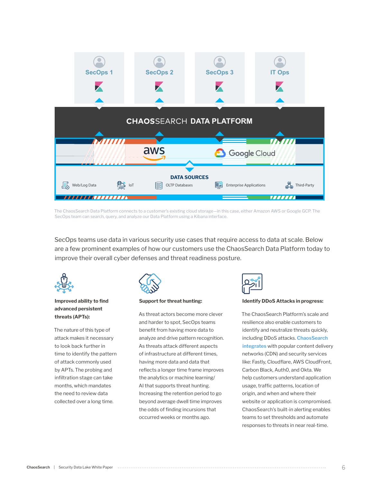

The ChaosSearch Data Platform connects to a customer's existing cloud storage—in this case, either Amazon AWS or Google GCP. The SecOps team can search, query, and analyze our Data Platform using a Kibana interface.

SecOps teams use data in various security use cases that require access to data at scale. Below are a few prominent examples of how our customers use the ChaosSearch Data Platform today to improve their overall cyber defenses and threat readiness posture.



#### **Improved ability to find advanced persistent threats (APTs):**

The nature of this type of attack makes it necessary to look back further in time to identify the pattern of attack commonly used by APTs. The probing and infiltration stage can take months, which mandates the need to review data collected over a long time.



#### **Support for threat hunting:**

As threat actors become more clever and harder to spot, SecOps teams benefit from having more data to analyze and drive pattern recognition. As threats attack different aspects of infrastructure at different times, having more data and data that reflects a longer time frame improves the analytics or machine learning/ AI that supports threat hunting. Increasing the retention period to go beyond average dwell time improves the odds of finding incursions that occurred weeks or months ago.



#### **Identify DDoS Attacks in progress:**

The ChaosSearch Platform's scale and resilience also enable customers to identify and neutralize threats quickly, including DDoS attacks. **ChaosSearch integrates** with popular content delivery networks (CDN) and security services like: Fastly, Cloudflare, AWS CloudFront, Carbon Black, Auth0, and Okta. We help customers understand application usage, traffic patterns, location of origin, and when and where their website or application is compromised. ChaosSearch's built-in alerting enables teams to set thresholds and automate responses to threats in near real-time.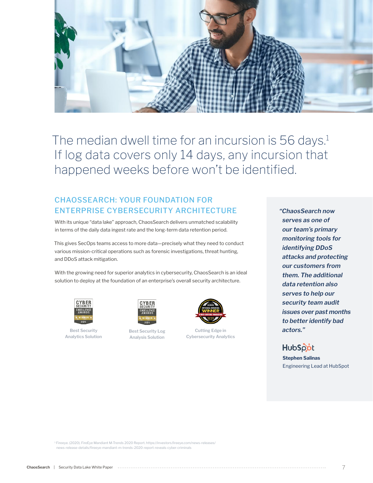

The median dwell time for an incursion is 56 days.<sup>1</sup> If log data covers only 14 days, any incursion that happened weeks before won't be identified.

## CHAOSSEARCH: YOUR FOUNDATION FOR ENTERPRISE CYBERSECURITY ARCHITECTURE

With its unique "data lake" approach, ChaosSearch delivers unmatched scalability in terms of the daily data ingest rate and the long-term data retention period.

This gives SecOps teams access to more data—precisely what they need to conduct various mission-critical operations such as forensic investigations, threat hunting, and DDoS attack mitigation.

With the growing need for superior analytics in cybersecurity, ChaosSearch is an ideal solution to deploy at the foundation of an enterprise's overall security architecture.



**Best Security Analytics Solution**



**Best Security Log Analysis Solution**



**Cutting Edge in Cybersecurity Analytics**

**"ChaosSearch now serves as one of our team's primary monitoring tools for identifying DDoS attacks and protecting our customers from them. The additional data retention also serves to help our security team audit issues over past months to better identify bad actors."**



**Stephen Salinas** Engineering Lead at HubSpot

1 Fireeye. (2020). FireEye Mandiant M-Trends 2020 Report. https://investors.fi reeye.com/news-releases/ news-release-details/fireeye-mandiant-m-trends-2020-report-reveals-cyber-criminals